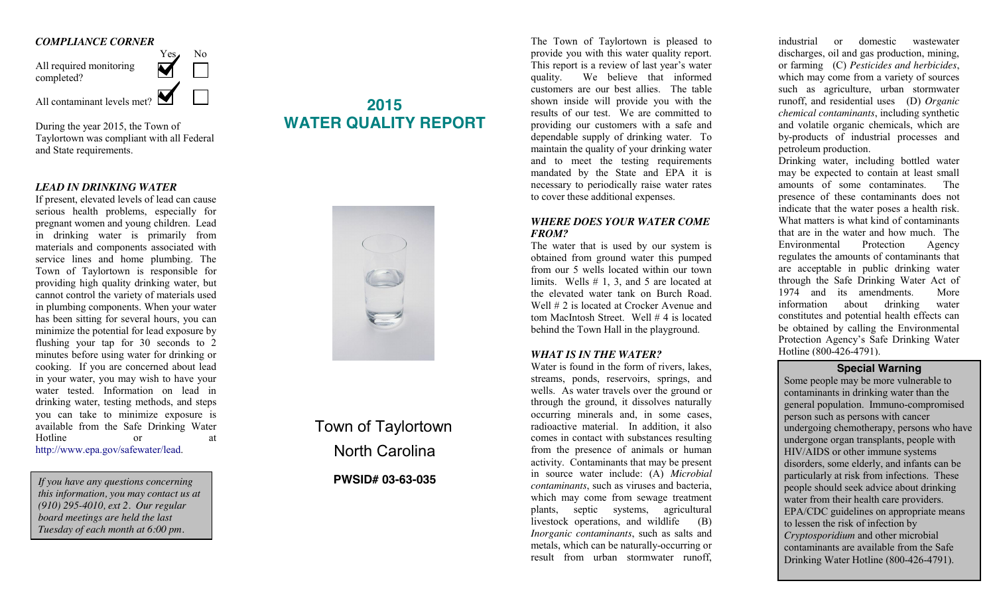#### *COMPLIANCE CORNER*



During the year 2015, the Town of Taylortown was compliant with all Federal and State requirements.

#### *LEAD IN DRINKING WATER*

If present, elevated levels of lead can cause serious health problems, especially for pregnant women and young children. Lead in drinking water is primarily from materials and components associated with service lines and home plumbing. The Town of Taylortown is responsible for providing high quality drinking water, but cannot control the variety of materials used in plumbing components. When your water has been sitting for several hours, you can minimize the potential for lead exposure by flushing your tap for 30 seconds to 2 minutes before using water for drinking or cooking. If you are concerned about lead in your water, you may wish to have your water tested. Information on lead in drinking water, testing methods, and steps you can take to minimize exposure is available from the Safe Drinking Water Hotline or at http://www.epa.gov/safewater/lead.

*If you have any questions concerning this information, you may contact us at (910) 295-4010, ext 2. Our regular board meetings are held the last Tuesday of each month at 6:00 pm.*

# **2015 WATER QUALITY REPORT**



Town of Taylortown North Carolina

### **PWSID# 03-63-035**

The Town of Taylortown is pleased to provide you with this water quality report. This report is a review of last year's water quality. We believe that informed customers are our best allies. The table shown inside will provide you with the results of our test. We are committed to providing our customers with a safe and dependable supply of drinking water. To maintain the quality of your drinking water and to meet the testing requirements mandated by the State and EPA it is necessary to periodically raise water rates to cover these additional expenses.

#### *WHERE DOES YOUR WATER COME FROM?*

The water that is used by our system is obtained from ground water this pumped from our 5 wells located within our town limits. Wells # 1, 3, and 5 are located at the elevated water tank on Burch Road. Well # 2 is located at Crocker Avenue and tom MacIntosh Street. Well # 4 is located behind the Town Hall in the playground.

#### *WHAT IS IN THE WATER?*

Water is found in the form of rivers, lakes. streams, ponds, reservoirs, springs, and wells. As water travels over the ground or through the ground, it dissolves naturally occurring minerals and, in some cases, radioactive material. In addition, it also comes in contact with substances resulting from the presence of animals or human activity. Contaminants that may be present in source water include: (A) *Microbial contaminants*, such as viruses and bacteria, which may come from sewage treatment plants, septic systems, agricultural livestock operations, and wildlife (B) *Inorganic contaminants*, such as salts and metals, which can be naturally-occurring or result from urban stormwater runoff,

industrial or domestic wastewater discharges, oil and gas production, mining, or farming (C) *Pesticides and herbicides*, which may come from a variety of sources such as agriculture, urban stormwater runoff, and residential uses (D) *Organic chemical contaminants*, including synthetic and volatile organic chemicals, which are by-products of industrial processes and petroleum production.

Drinking water, including bottled water may be expected to contain at least small amounts of some contaminates. The presence of these contaminants does not indicate that the water poses a health risk. What matters is what kind of contaminants that are in the water and how much. The Environmental Protection Agency regulates the amounts of contaminants that are acceptable in public drinking water through the Safe Drinking Water Act of 1974 and its amendments. More information about drinking water constitutes and potential health effects can be obtained by calling the Environmental Protection Agency's Safe Drinking Water Hotline (800-426-4791).

### **Special Warning**

Some people may be more vulnerable to contaminants in drinking water than the general population. Immuno-compromised person such as persons with cancer undergoing chemotherapy, persons who have undergone organ transplants, people with HIV/AIDS or other immune systems disorders, some elderly, and infants can be particularly at risk from infections. These people should seek advice about drinking water from their health care providers. EPA/CDC guidelines on appropriate means to lessen the risk of infection by *Cryptosporidium* and other microbial contaminants are available from the Safe Drinking Water Hotline (800-426-4791).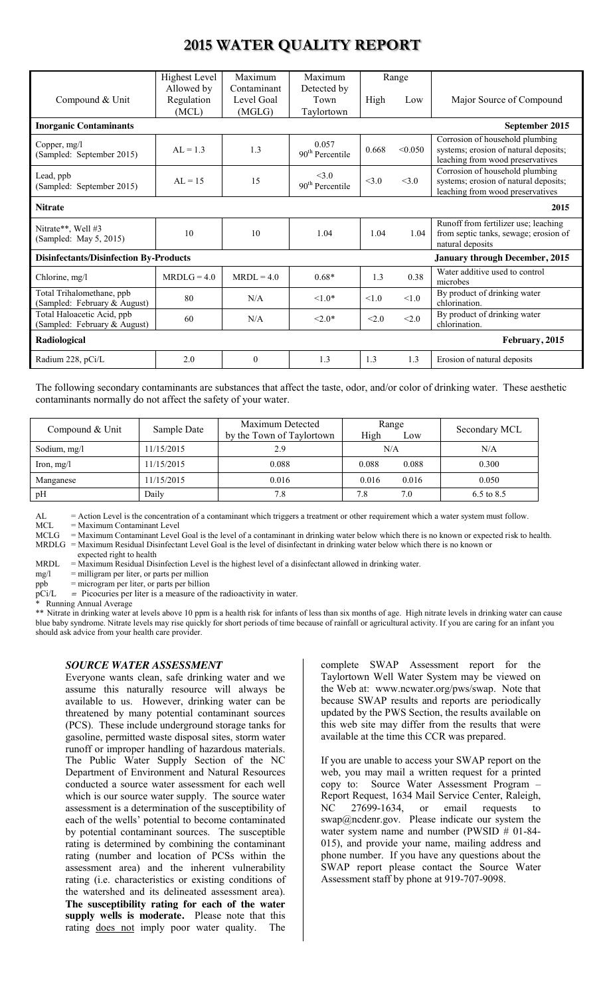# **2015 WATER QUALITY REPORT**

|                                                                                        | Highest Level  | Maximum      | Maximum                     | Range |         |                                                                          |
|----------------------------------------------------------------------------------------|----------------|--------------|-----------------------------|-------|---------|--------------------------------------------------------------------------|
|                                                                                        | Allowed by     | Contaminant  | Detected by                 |       |         |                                                                          |
| Compound & Unit                                                                        | Regulation     | Level Goal   | Town                        | High  | Low     | Major Source of Compound                                                 |
|                                                                                        | (MCL)          | (MGLG)       | Taylortown                  |       |         |                                                                          |
| <b>Inorganic Contaminants</b>                                                          |                |              |                             |       |         | September 2015                                                           |
| Copper, mg/l                                                                           | $AL = 1.3$     | 1.3          | 0.057                       | 0.668 | < 0.050 | Corrosion of household plumbing<br>systems; erosion of natural deposits; |
| (Sampled: September 2015)                                                              |                |              | 90 <sup>th</sup> Percentile |       |         | leaching from wood preservatives                                         |
| Lead, ppb                                                                              |                |              | $<$ 3 $\Omega$              |       |         | Corrosion of household plumbing                                          |
| (Sampled: September 2015)                                                              | $AI = 15$      | 15           | 90 <sup>th</sup> Percentile | <3.0  | <3.0    | systems; erosion of natural deposits;                                    |
|                                                                                        |                |              |                             |       |         | leaching from wood preservatives                                         |
| <b>Nitrate</b><br>2015                                                                 |                |              |                             |       |         |                                                                          |
| Nitrate**, Well #3                                                                     |                |              |                             |       |         | Runoff from fertilizer use; leaching                                     |
| (Sampled: May 5, 2015)                                                                 | 10             | 10           | 1.04                        | 1.04  | 1.04    | from septic tanks, sewage; erosion of                                    |
|                                                                                        |                |              |                             |       |         | natural deposits                                                         |
| <b>Disinfectants/Disinfection By-Products</b><br><b>January through December, 2015</b> |                |              |                             |       |         |                                                                          |
| Chlorine, mg/l                                                                         | MRDL $G = 4.0$ | $MRDL = 4.0$ | $0.68*$                     | 1.3   | 0.38    | Water additive used to control                                           |
|                                                                                        |                |              |                             |       |         | microbes                                                                 |
| Total Trihalomethane, ppb<br>(Sampled: February & August)                              | 80             | N/A          | $1.0*$                      | < 1.0 | < 1.0   | By product of drinking water<br>chlorination.                            |
| Total Haloacetic Acid, ppb                                                             | 60             |              |                             |       | <2.0    | By product of drinking water                                             |
| (Sampled: February & August)                                                           |                | N/A          | $< 2.0*$                    | <2.0  |         | chlorination.                                                            |
| Radiological<br>February, 2015                                                         |                |              |                             |       |         |                                                                          |
|                                                                                        |                |              |                             |       |         |                                                                          |

The following secondary contaminants are substances that affect the taste, odor, and/or color of drinking water. These aesthetic contaminants normally do not affect the safety of your water.

| Compound & Unit | Sample Date | Maximum Detected<br>by the Town of Taylortown | Range<br>High<br>Low | Secondary MCL |
|-----------------|-------------|-----------------------------------------------|----------------------|---------------|
| Sodium, mg/l    | 11/15/2015  | 2.9                                           | N/A                  | N/A           |
| Iron, $mg/l$    | 11/15/2015  | 0.088                                         | 0.088<br>0.088       | 0.300         |
| Manganese       | 11/15/2015  | 0.016                                         | 0.016<br>0.016       | 0.050         |
| pH              | Daily       | 7.8                                           | 7.0<br>7.8           | 6.5 to 8.5    |

AL = Action Level is the concentration of a contaminant which triggers a treatment or other requirement which a water system must follow.<br>MCL = Maximum Contaminant Level

 $MCL = Maximum Contaminant Level  
\nMCLG = Maximum Contaminant Level$ 

= Maximum Contaminant Level Goal is the level of a contaminant in drinking water below which there is no known or expected risk to health. MRDLG = Maximum Residual Disinfectant Level Goal is the level of disinfectant in drinking water below which there is no known or expected right to health

MRDL = Maximum Residual Disinfection Level is the highest level of a disinfectant allowed in drinking water.<br>mg/l = milligram per liter, or parts per million

mg/l = milligram per liter, or parts per million<br>ppb = microgram per liter, or parts per billion

ppb = microgram per liter, or parts per billion<br>pCi/L = Picocuries per liter is a measure of th<br>\* Running Annual A---= Picocuries per liter is a measure of the radioactivity in water.

Running Annual Average

\*\* Nitrate in drinking water at levels above 10 ppm is a health risk for infants of less than six months of age. High nitrate levels in drinking water can cause blue baby syndrome. Nitrate levels may rise quickly for short periods of time because of rainfall or agricultural activity. If you are caring for an infant you should ask advice from your health care provider.

### *SOURCE WATER ASSESSMENT*

Everyone wants clean, safe drinking water and we assume this naturally resource will always be available to us. However, drinking water can be threatened by many potential contaminant sources (PCS). These include underground storage tanks for gasoline, permitted waste disposal sites, storm water runoff or improper handling of hazardous materials. The Public Water Supply Section of the NC Department of Environment and Natural Resources conducted a source water assessment for each well which is our source water supply. The source water assessment is a determination of the susceptibility of each of the wells' potential to become contaminated by potential contaminant sources. The susceptible rating is determined by combining the contaminant rating (number and location of PCSs within the assessment area) and the inherent vulnerability rating (i.e. characteristics or existing conditions of the watershed and its delineated assessment area). **The susceptibility rating for each of the water supply wells is moderate.** Please note that this rating does not imply poor water quality. The

complete SWAP Assessment report for the Taylortown Well Water System may be viewed on the Web at: www.ncwater.org/pws/swap. Note that because SWAP results and reports are periodically updated by the PWS Section, the results available on this web site may differ from the results that were available at the time this CCR was prepared.

If you are unable to access your SWAP report on the web, you may mail a written request for a printed copy to: Source Water Assessment Program – Report Request, 1634 Mail Service Center, Raleigh, NC 27699-1634, or email requests to swap@ncdenr.gov. Please indicate our system the water system name and number (PWSID # 01-84-015), and provide your name, mailing address and phone number. If you have any questions about the SWAP report please contact the Source Water Assessment staff by phone at 919-707-9098.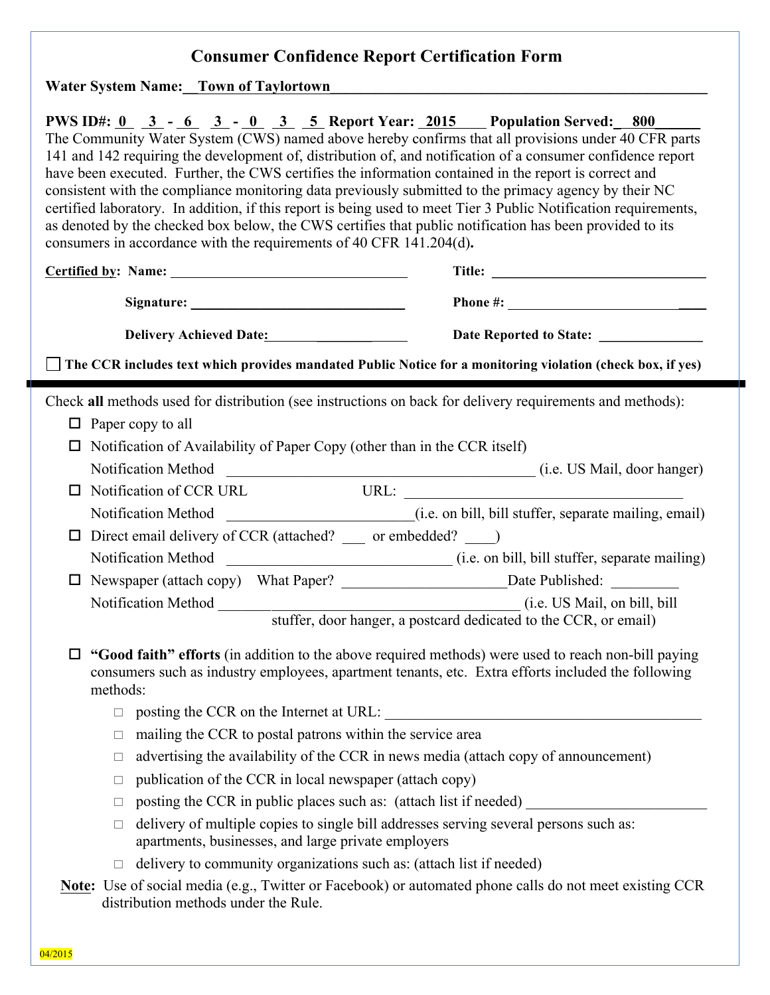# **Consumer Confidence Report Certification Form**

Water System Name:**\_\_Town of Taylortown** 

|                                                                                                                   | consumers in accordance with the requirements of 40 CFR 141.204(d).                                                                          | PWS ID#: $0$ $3$ - $6$ $3$ - $0$ $3$ $5$ Report Year: 2015 Population Served: 800<br>The Community Water System (CWS) named above hereby confirms that all provisions under 40 CFR parts<br>141 and 142 requiring the development of, distribution of, and notification of a consumer confidence report<br>have been executed. Further, the CWS certifies the information contained in the report is correct and<br>consistent with the compliance monitoring data previously submitted to the primacy agency by their NC<br>certified laboratory. In addition, if this report is being used to meet Tier 3 Public Notification requirements,<br>as denoted by the checked box below, the CWS certifies that public notification has been provided to its |  |  |
|-------------------------------------------------------------------------------------------------------------------|----------------------------------------------------------------------------------------------------------------------------------------------|-----------------------------------------------------------------------------------------------------------------------------------------------------------------------------------------------------------------------------------------------------------------------------------------------------------------------------------------------------------------------------------------------------------------------------------------------------------------------------------------------------------------------------------------------------------------------------------------------------------------------------------------------------------------------------------------------------------------------------------------------------------|--|--|
|                                                                                                                   |                                                                                                                                              |                                                                                                                                                                                                                                                                                                                                                                                                                                                                                                                                                                                                                                                                                                                                                           |  |  |
|                                                                                                                   |                                                                                                                                              | Phone #: $\qquad \qquad$                                                                                                                                                                                                                                                                                                                                                                                                                                                                                                                                                                                                                                                                                                                                  |  |  |
|                                                                                                                   | Delivery Achieved Date:                                                                                                                      | Date Reported to State: _____________                                                                                                                                                                                                                                                                                                                                                                                                                                                                                                                                                                                                                                                                                                                     |  |  |
| $\Box$ The CCR includes text which provides mandated Public Notice for a monitoring violation (check box, if yes) |                                                                                                                                              |                                                                                                                                                                                                                                                                                                                                                                                                                                                                                                                                                                                                                                                                                                                                                           |  |  |
| $\Box$<br>$\Box$                                                                                                  | $\Box$ Paper copy to all<br>Notification of Availability of Paper Copy (other than in the CCR itself)<br>Notification of CCR URL             | Check all methods used for distribution (see instructions on back for delivery requirements and methods):                                                                                                                                                                                                                                                                                                                                                                                                                                                                                                                                                                                                                                                 |  |  |
|                                                                                                                   |                                                                                                                                              |                                                                                                                                                                                                                                                                                                                                                                                                                                                                                                                                                                                                                                                                                                                                                           |  |  |
| $\Box$                                                                                                            | Direct email delivery of CCR (attached? _____ or embedded? ____)                                                                             |                                                                                                                                                                                                                                                                                                                                                                                                                                                                                                                                                                                                                                                                                                                                                           |  |  |
|                                                                                                                   |                                                                                                                                              |                                                                                                                                                                                                                                                                                                                                                                                                                                                                                                                                                                                                                                                                                                                                                           |  |  |
| $\Box$                                                                                                            |                                                                                                                                              |                                                                                                                                                                                                                                                                                                                                                                                                                                                                                                                                                                                                                                                                                                                                                           |  |  |
|                                                                                                                   |                                                                                                                                              | stuffer, door hanger, a postcard dedicated to the CCR, or email)                                                                                                                                                                                                                                                                                                                                                                                                                                                                                                                                                                                                                                                                                          |  |  |
| $\Box$<br>methods:                                                                                                |                                                                                                                                              | "Good faith" efforts (in addition to the above required methods) were used to reach non-bill paying<br>consumers such as industry employees, apartment tenants, etc. Extra efforts included the following                                                                                                                                                                                                                                                                                                                                                                                                                                                                                                                                                 |  |  |
|                                                                                                                   |                                                                                                                                              |                                                                                                                                                                                                                                                                                                                                                                                                                                                                                                                                                                                                                                                                                                                                                           |  |  |
| $\Box$                                                                                                            | mailing the CCR to postal patrons within the service area                                                                                    |                                                                                                                                                                                                                                                                                                                                                                                                                                                                                                                                                                                                                                                                                                                                                           |  |  |
| $\Box$                                                                                                            |                                                                                                                                              | advertising the availability of the CCR in news media (attach copy of announcement)                                                                                                                                                                                                                                                                                                                                                                                                                                                                                                                                                                                                                                                                       |  |  |
| $\Box$                                                                                                            | publication of the CCR in local newspaper (attach copy)                                                                                      |                                                                                                                                                                                                                                                                                                                                                                                                                                                                                                                                                                                                                                                                                                                                                           |  |  |
| $\Box$                                                                                                            | posting the CCR in public places such as: (attach list if needed)                                                                            |                                                                                                                                                                                                                                                                                                                                                                                                                                                                                                                                                                                                                                                                                                                                                           |  |  |
| $\Box$                                                                                                            | delivery of multiple copies to single bill addresses serving several persons such as:<br>apartments, businesses, and large private employers |                                                                                                                                                                                                                                                                                                                                                                                                                                                                                                                                                                                                                                                                                                                                                           |  |  |
| П.                                                                                                                | delivery to community organizations such as: (attach list if needed)                                                                         |                                                                                                                                                                                                                                                                                                                                                                                                                                                                                                                                                                                                                                                                                                                                                           |  |  |
|                                                                                                                   | distribution methods under the Rule.                                                                                                         | <b>Note:</b> Use of social media (e.g., Twitter or Facebook) or automated phone calls do not meet existing CCR                                                                                                                                                                                                                                                                                                                                                                                                                                                                                                                                                                                                                                            |  |  |

1